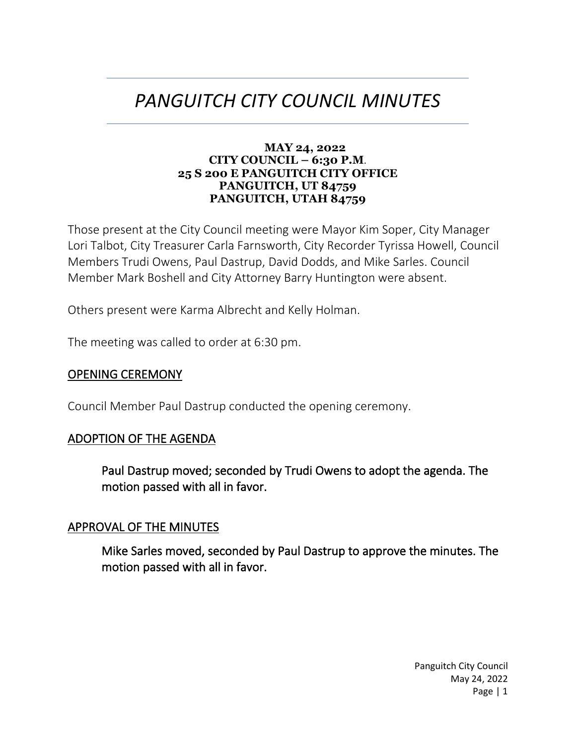# *PANGUITCH CITY COUNCIL MINUTES*

#### **MAY 24, 2022 CITY COUNCIL – 6:30 P.M**. **25 S 200 E PANGUITCH CITY OFFICE PANGUITCH, UT 84759 PANGUITCH, UTAH 84759**

Those present at the City Council meeting were Mayor Kim Soper, City Manager Lori Talbot, City Treasurer Carla Farnsworth, City Recorder Tyrissa Howell, Council Members Trudi Owens, Paul Dastrup, David Dodds, and Mike Sarles. Council Member Mark Boshell and City Attorney Barry Huntington were absent.

Others present were Karma Albrecht and Kelly Holman.

The meeting was called to order at 6:30 pm.

#### OPENING CEREMONY

Council Member Paul Dastrup conducted the opening ceremony.

#### ADOPTION OF THE AGENDA

Paul Dastrup moved; seconded by Trudi Owens to adopt the agenda. The motion passed with all in favor.

#### APPROVAL OF THE MINUTES

Mike Sarles moved, seconded by Paul Dastrup to approve the minutes. The motion passed with all in favor.

> Panguitch City Council May 24, 2022 Page | 1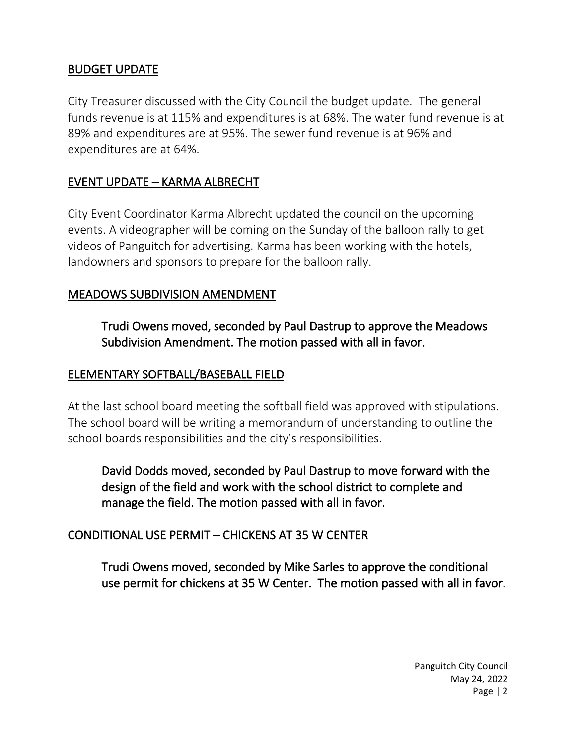# BUDGET UPDATE

City Treasurer discussed with the City Council the budget update. The general funds revenue is at 115% and expenditures is at 68%. The water fund revenue is at 89% and expenditures are at 95%. The sewer fund revenue is at 96% and expenditures are at 64%.

# EVENT UPDATE – KARMA ALBRECHT

City Event Coordinator Karma Albrecht updated the council on the upcoming events. A videographer will be coming on the Sunday of the balloon rally to get videos of Panguitch for advertising. Karma has been working with the hotels, landowners and sponsors to prepare for the balloon rally.

## MEADOWS SUBDIVISION AMENDMENT

Trudi Owens moved, seconded by Paul Dastrup to approve the Meadows Subdivision Amendment. The motion passed with all in favor.

#### ELEMENTARY SOFTBALL/BASEBALL FIELD

At the last school board meeting the softball field was approved with stipulations. The school board will be writing a memorandum of understanding to outline the school boards responsibilities and the city's responsibilities.

David Dodds moved, seconded by Paul Dastrup to move forward with the design of the field and work with the school district to complete and manage the field. The motion passed with all in favor.

## CONDITIONAL USE PERMIT – CHICKENS AT 35 W CENTER

Trudi Owens moved, seconded by Mike Sarles to approve the conditional use permit for chickens at 35 W Center. The motion passed with all in favor.

> Panguitch City Council May 24, 2022 Page | 2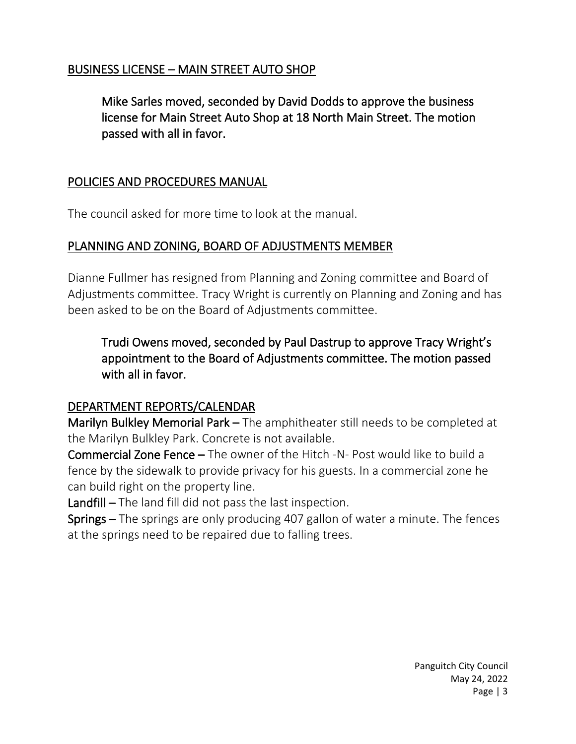# BUSINESS LICENSE – MAIN STREET AUTO SHOP

Mike Sarles moved, seconded by David Dodds to approve the business license for Main Street Auto Shop at 18 North Main Street. The motion passed with all in favor.

## POLICIES AND PROCEDURES MANUAL

The council asked for more time to look at the manual.

## PLANNING AND ZONING, BOARD OF ADJUSTMENTS MEMBER

Dianne Fullmer has resigned from Planning and Zoning committee and Board of Adjustments committee. Tracy Wright is currently on Planning and Zoning and has been asked to be on the Board of Adjustments committee.

Trudi Owens moved, seconded by Paul Dastrup to approve Tracy Wright's appointment to the Board of Adjustments committee. The motion passed with all in favor.

## DEPARTMENT REPORTS/CALENDAR

Marilyn Bulkley Memorial Park – The amphitheater still needs to be completed at the Marilyn Bulkley Park. Concrete is not available.

Commercial Zone Fence – The owner of the Hitch -N- Post would like to build a fence by the sidewalk to provide privacy for his guests. In a commercial zone he can build right on the property line.

Landfill – The land fill did not pass the last inspection.

Springs – The springs are only producing 407 gallon of water a minute. The fences at the springs need to be repaired due to falling trees.